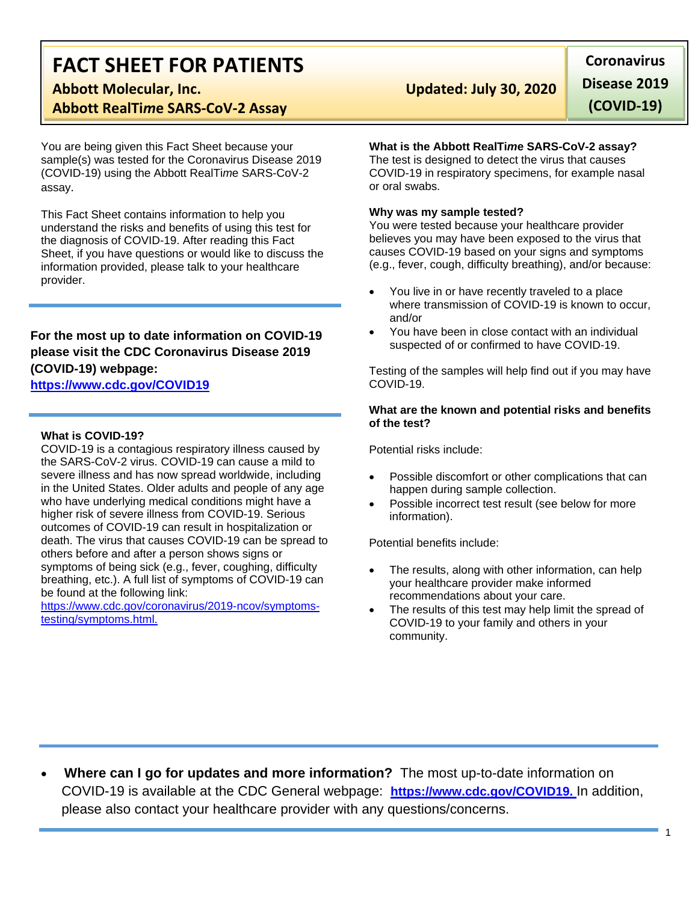# **FACT SHEET FOR PATIENTS**

# **Abbott RealTi***m***e SARS-CoV-2 Assay**

You are being given this Fact Sheet because your sample(s) was tested for the Coronavirus Disease 2019 (COVID-19) using the Abbott RealTi*m*e SARS-CoV-2 assay.

This Fact Sheet contains information to help you understand the risks and benefits of using this test for the diagnosis of COVID-19. After reading this Fact Sheet, if you have questions or would like to discuss the information provided, please talk to your healthcare provider.

## **For the most up to date information on COVID-19 please visit the CDC Coronavirus Disease 2019 (COVID-19) webpage:**

### **[https://www.cdc.gov/COVID19](https://www.cdc.gov/nCoV)**

#### **What is COVID-19?**

COVID-19 is a contagious respiratory illness caused by the SARS-CoV-2 virus. COVID-19 can cause a mild to severe illness and has now spread worldwide, including in the United States. Older adults and people of any age who have underlying medical conditions might have a higher risk of severe illness from COVID-19. Serious outcomes of COVID-19 can result in hospitalization or death. The virus that causes COVID-19 can be spread to others before and after a person shows signs or symptoms of being sick (e.g., fever, coughing, difficulty breathing, etc.). A full list of symptoms of COVID-19 can be found at the following link:

[https://www.cdc.gov/coronavirus/2019-ncov/symptoms](https://www.cdc.gov/coronavirus/2019-ncov/symptoms-testing/symptoms.html)[testing/symptoms.html.](https://www.cdc.gov/coronavirus/2019-ncov/symptoms-testing/symptoms.html)

# **Abbott Molecular, Inc. Updated: July 30, 2020**

**Coronavirus Disease 2019 (COVID-19)**

#### **What is the Abbott RealTi***m***e SARS-CoV-2 assay?**

The test is designed to detect the virus that causes COVID-19 in respiratory specimens, for example nasal or oral swabs.

#### **Why was my sample tested?**

You were tested because your healthcare provider believes you may have been exposed to the virus that causes COVID-19 based on your signs and symptoms (e.g., fever, cough, difficulty breathing), and/or because:

- You live in or have recently traveled to a place where transmission of COVID-19 is known to occur, and/or
- You have been in close contact with an individual suspected of or confirmed to have COVID-19.

Testing of the samples will help find out if you may have COVID-19.

#### **What are the known and potential risks and benefits of the test?**

Potential risks include:

- Possible discomfort or other complications that can happen during sample collection.
- Possible incorrect test result (see below for more information).

Potential benefits include:

- The results, along with other information, can help your healthcare provider make informed recommendations about your care.
- The results of this test may help limit the spread of COVID-19 to your family and others in your community.

• **Where can I go for updates and more information?** The most up-to-date information on COVID-19 is available at the CDC General webpage: **[https://www.cdc.gov/COVID19.](https://www.cdc.gov/nCoV)** In addition, please also contact your healthcare provider with any questions/concerns.